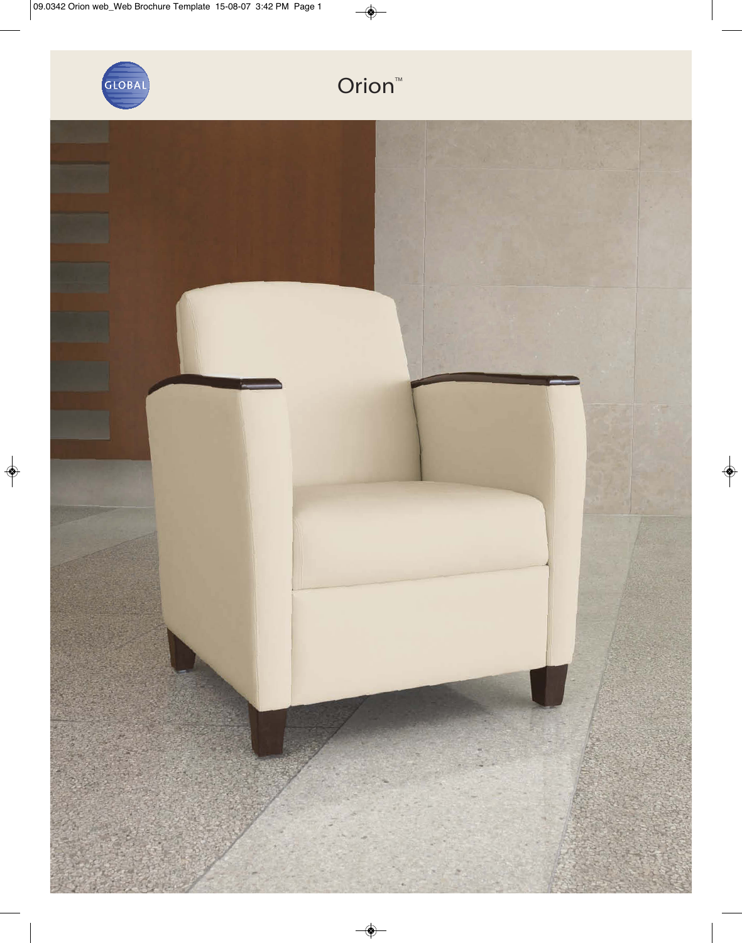

## Orion<sup>™</sup>